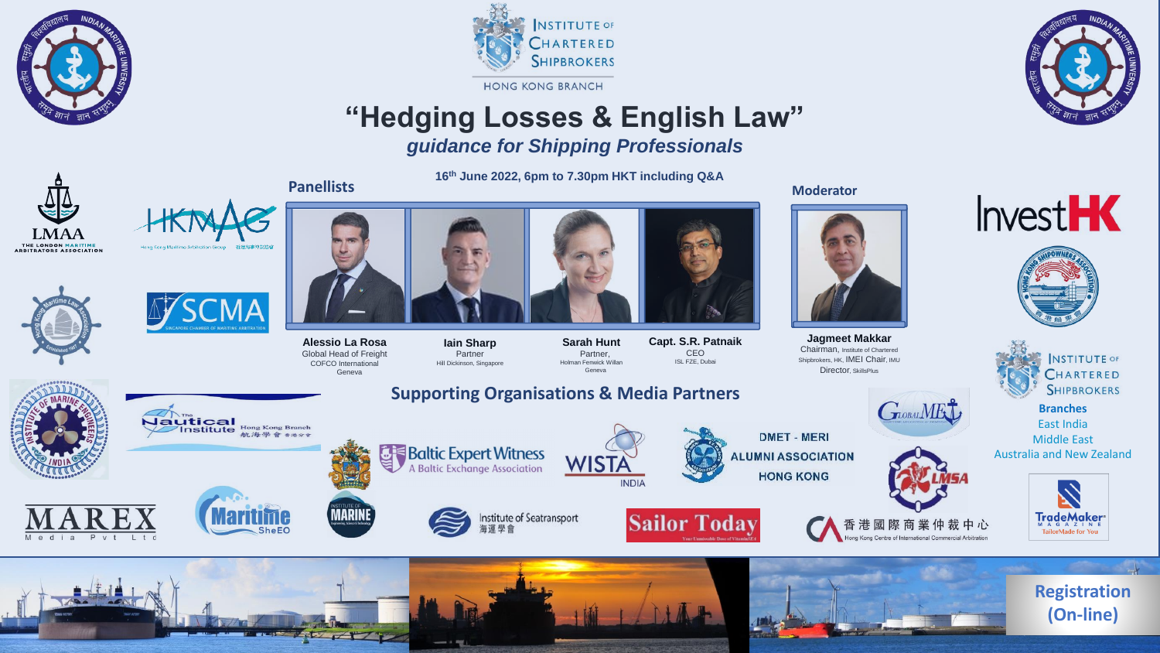





# **"Hedging Losses & English Law"**

## *guidance for Shipping Professionals*

**16th June 2022, 6pm to 7.30pm HKT including Q&A** Panellists **Moderator Panellists Moderator Moderator Moderator** 

> **Sarah Hunt** Partner, Holman Fenwick Willan Geneva

**WISTA** 

**INDIA** 

**LMAA** THE LONDON MARITIME<br>ARBITRATORS ASSOCIATION









**Iain Sharp** Partner Hill Dickinson, Singapore

**Baltic Expert Witness** 



**Capt. S.R. Patnaik CEO** ISL FZE, Dubai

### **Supporting Organisations & Media Partners**

Mautical<br>Institute Hong Kong Branch 航海學會布地分布





**Alessio La Rosa** Global Head of Freight COFCO International Geneva







**Sailor Today** 

**DMET - MERI ALUMNI ASSOCIATION HONG KONG** 



 $G$ DOBAL MET

港國際商業仲裁中心

of International Commercial Arbitration

**INSTITUTE OF** CHARTERED **SHIPBROKERS** 

**Branches** East India Middle East Australia and New Zealand

**InvestHK** 











**Jagmeet Makkar** Chairman, Institute of Chartered Shipbrokers, HK, **IMEI Chair**, IMU Director, SkillsPlus